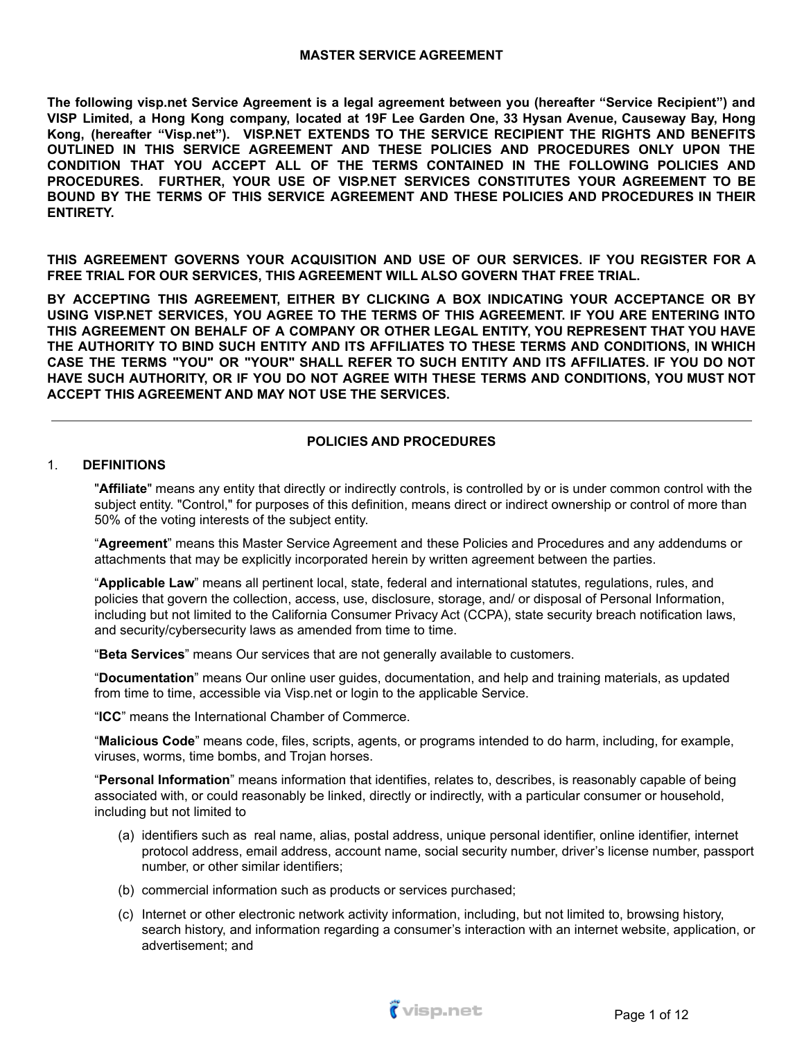#### **MASTER SERVICE AGREEMENT**

**The following visp.net Service Agreement is a legal agreement between you (hereafter "Service Recipient") and** VISP Limited, a Hong Kong company, located at 19F Lee Garden One, 33 Hysan Avenue, Causeway Bay, Hong **Kong, (hereafter "Visp.net"). VISP.NET EXTENDS TO THE SERVICE RECIPIENT THE RIGHTS AND BENEFITS OUTLINED IN THIS SERVICE AGREEMENT AND THESE POLICIES AND PROCEDURES ONLY UPON THE CONDITION THAT YOU ACCEPT ALL OF THE TERMS CONTAINED IN THE FOLLOWING POLICIES AND PROCEDURES. FURTHER, YOUR USE OF VISP.NET SERVICES CONSTITUTES YOUR AGREEMENT TO BE BOUND BY THE TERMS OF THIS SERVICE AGREEMENT AND THESE POLICIES AND PROCEDURES IN THEIR ENTIRETY.**

**THIS AGREEMENT GOVERNS YOUR ACQUISITION AND USE OF OUR SERVICES. IF YOU REGISTER FOR A FREE TRIAL FOR OUR SERVICES, THIS AGREEMENT WILL ALSO GOVERN THAT FREE TRIAL.**

**BY ACCEPTING THIS AGREEMENT, EITHER BY CLICKING A BOX INDICATING YOUR ACCEPTANCE OR BY USING VISP.NET SERVICES, YOU AGREE TO THE TERMS OF THIS AGREEMENT. IF YOU ARE ENTERING INTO THIS AGREEMENT ON BEHALF OF A COMPANY OR OTHER LEGAL ENTITY, YOU REPRESENT THAT YOU HAVE THE AUTHORITY TO BIND SUCH ENTITY AND ITS AFFILIATES TO THESE TERMS AND CONDITIONS, IN WHICH CASE THE TERMS "YOU" OR "YOUR" SHALL REFER TO SUCH ENTITY AND ITS AFFILIATES. IF YOU DO NOT HAVE SUCH AUTHORITY, OR IF YOU DO NOT AGREE WITH THESE TERMS AND CONDITIONS, YOU MUST NOT ACCEPT THIS AGREEMENT AND MAY NOT USE THE SERVICES.**

### **POLICIES AND PROCEDURES**

#### 1. **DEFINITIONS**

"**Affiliate**" means any entity that directly or indirectly controls, is controlled by or is under common control with the subject entity. "Control," for purposes of this definition, means direct or indirect ownership or control of more than 50% of the voting interests of the subject entity.

"**Agreement**" means this Master Service Agreement and these Policies and Procedures and any addendums or attachments that may be explicitly incorporated herein by written agreement between the parties.

"**Applicable Law**" means all pertinent local, state, federal and international statutes, regulations, rules, and policies that govern the collection, access, use, disclosure, storage, and/ or disposal of Personal Information, including but not limited to the California Consumer Privacy Act (CCPA), state security breach notification laws, and security/cybersecurity laws as amended from time to time.

"**Beta Services**" means Our services that are not generally available to customers.

"**Documentation**" means Our online user guides, documentation, and help and training materials, as updated from time to time, accessible via Visp.net or login to the applicable Service.

"**ICC**" means the International Chamber of Commerce.

"**Malicious Code**" means code, files, scripts, agents, or programs intended to do harm, including, for example, viruses, worms, time bombs, and Trojan horses.

"**Personal Information**" means information that identifies, relates to, describes, is reasonably capable of being associated with, or could reasonably be linked, directly or indirectly, with a particular consumer or household, including but not limited to

- (a) identifiers such as real name, alias, postal address, unique personal identifier, online identifier, internet protocol address, email address, account name, social security number, driver's license number, passport number, or other similar identifiers;
- (b) commercial information such as products or services purchased;
- (c) Internet or other electronic network activity information, including, but not limited to, browsing history, search history, and information regarding a consumer's interaction with an internet website, application, or advertisement; and

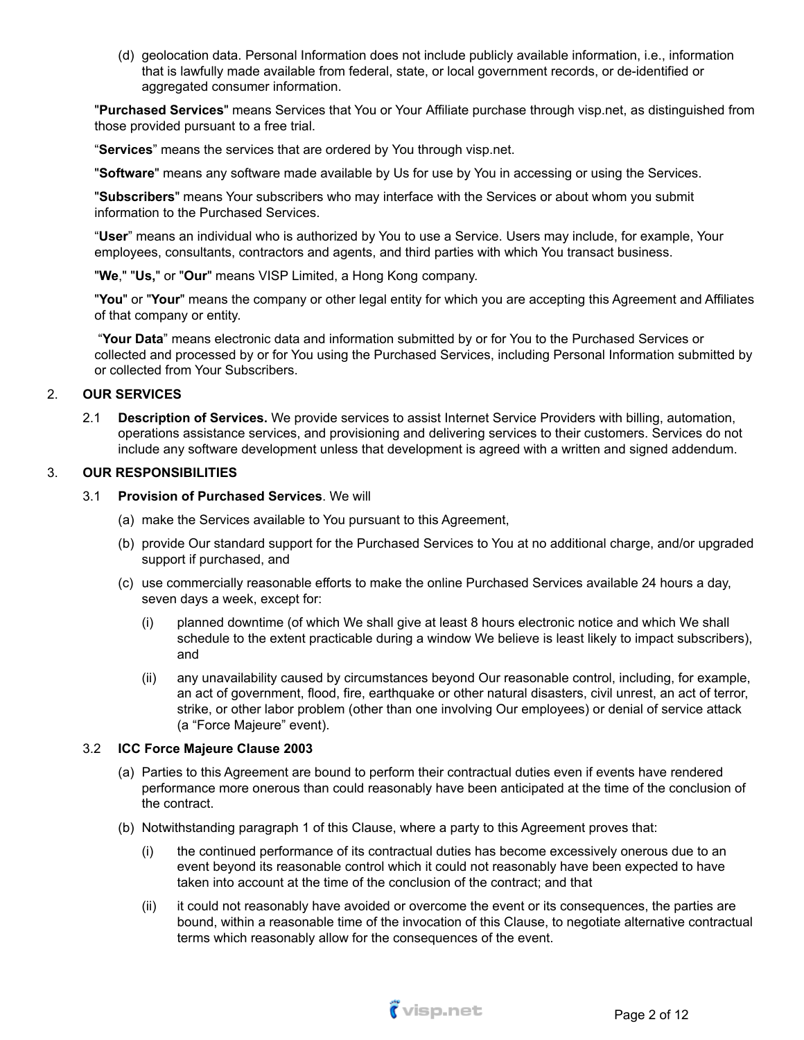(d) geolocation data. Personal Information does not include publicly available information, i.e., information that is lawfully made available from federal, state, or local government records, or de-identified or aggregated consumer information.

"**Purchased Services**" means Services that You or Your Affiliate purchase through visp.net, as distinguished from those provided pursuant to a free trial.

"**Services**" means the services that are ordered by You through visp.net.

"**Software**" means any software made available by Us for use by You in accessing or using the Services.

"**Subscribers**" means Your subscribers who may interface with the Services or about whom you submit information to the Purchased Services.

"**User**" means an individual who is authorized by You to use a Service. Users may include, for example, Your employees, consultants, contractors and agents, and third parties with which You transact business.

"**We**," "**Us,**" or "**Our**" means VISP Limited, a Hong Kong company.

"**You**" or "**Your**" means the company or other legal entity for which you are accepting this Agreement and Affiliates of that company or entity.

"**Your Data**" means electronic data and information submitted by or for You to the Purchased Services or collected and processed by or for You using the Purchased Services, including Personal Information submitted by or collected from Your Subscribers.

#### 2. **OUR SERVICES**

2.1 **Description of Services.** We provide services to assist Internet Service Providers with billing, automation, operations assistance services, and provisioning and delivering services to their customers. Services do not include any software development unless that development is agreed with a written and signed addendum.

#### 3. **OUR RESPONSIBILITIES**

#### 3.1 **Provision of Purchased Services**. We will

- (a) make the Services available to You pursuant to this Agreement,
- (b) provide Our standard support for the Purchased Services to You at no additional charge, and/or upgraded support if purchased, and
- (c) use commercially reasonable efforts to make the online Purchased Services available 24 hours a day, seven days a week, except for:
	- (i) planned downtime (of which We shall give at least 8 hours electronic notice and which We shall schedule to the extent practicable during a window We believe is least likely to impact subscribers), and
	- (ii) any unavailability caused by circumstances beyond Our reasonable control, including, for example, an act of government, flood, fire, earthquake or other natural disasters, civil unrest, an act of terror, strike, or other labor problem (other than one involving Our employees) or denial of service attack (a "Force Majeure" event).

#### 3.2 **ICC Force Majeure Clause 2003**

- (a) Parties to this Agreement are bound to perform their contractual duties even if events have rendered performance more onerous than could reasonably have been anticipated at the time of the conclusion of the contract.
- (b) Notwithstanding paragraph 1 of this Clause, where a party to this Agreement proves that:
	- (i) the continued performance of its contractual duties has become excessively onerous due to an event beyond its reasonable control which it could not reasonably have been expected to have taken into account at the time of the conclusion of the contract; and that
	- (ii) it could not reasonably have avoided or overcome the event or its consequences, the parties are bound, within a reasonable time of the invocation of this Clause, to negotiate alternative contractual terms which reasonably allow for the consequences of the event.

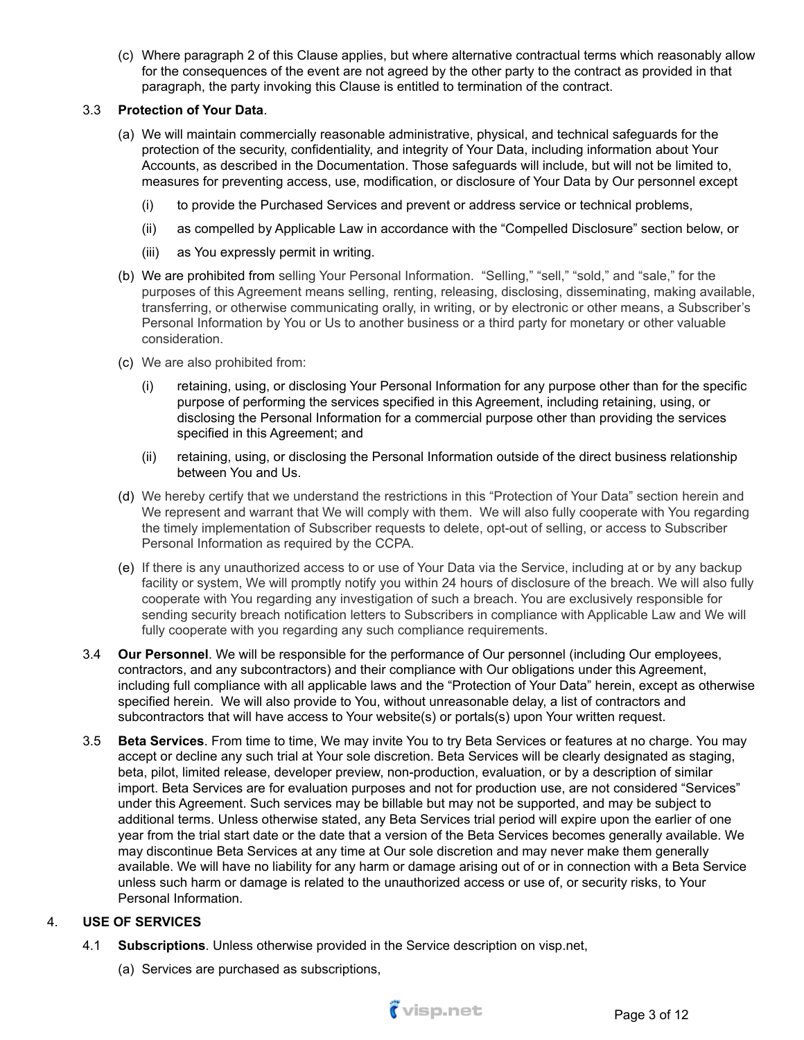(c) Where paragraph 2 of this Clause applies, but where alternative contractual terms which reasonably allow for the consequences of the event are not agreed by the other party to the contract as provided in that paragraph, the party invoking this Clause is entitled to termination of the contract.

## 3.3 **Protection of Your Data**.

- (a) We will maintain commercially reasonable administrative, physical, and technical safeguards for the protection of the security, confidentiality, and integrity of Your Data, including information about Your Accounts, as described in the Documentation. Those safeguards will include, but will not be limited to, measures for preventing access, use, modification, or disclosure of Your Data by Our personnel except
	- (i) to provide the Purchased Services and prevent or address service or technical problems,
	- (ii) as compelled by Applicable Law in accordance with the "Compelled Disclosure" section below, or
	- (iii) as You expressly permit in writing.
- (b) We are prohibited from selling Your Personal Information. "Selling," "sell," "sold," and "sale," for the purposes of this Agreement means selling, renting, releasing, disclosing, disseminating, making available, transferring, or otherwise communicating orally, in writing, or by electronic or other means, a Subscriber's Personal Information by You or Us to another business or a third party for monetary or other valuable consideration.
- (c) We are also prohibited from:
	- (i) retaining, using, or disclosing Your Personal Information for any purpose other than for the specific purpose of performing the services specified in this Agreement, including retaining, using, or disclosing the Personal Information for a commercial purpose other than providing the services specified in this Agreement; and
	- (ii) retaining, using, or disclosing the Personal Information outside of the direct business relationship between You and Us.
- (d) We hereby certify that we understand the restrictions in this "Protection of Your Data" section herein and We represent and warrant that We will comply with them. We will also fully cooperate with You regarding the timely implementation of Subscriber requests to delete, opt-out of selling, or access to Subscriber Personal Information as required by the CCPA.
- (e) If there is any unauthorized access to or use of Your Data via the Service, including at or by any backup facility or system, We will promptly notify you within 24 hours of disclosure of the breach. We will also fully cooperate with You regarding any investigation of such a breach. You are exclusively responsible for sending security breach notification letters to Subscribers in compliance with Applicable Law and We will fully cooperate with you regarding any such compliance requirements.
- 3.4 **Our Personnel**. We will be responsible for the performance of Our personnel (including Our employees, contractors, and any subcontractors) and their compliance with Our obligations under this Agreement, including full compliance with all applicable laws and the "Protection of Your Data" herein, except as otherwise specified herein. We will also provide to You, without unreasonable delay, a list of contractors and subcontractors that will have access to Your website(s) or portals(s) upon Your written request.
- 3.5 **Beta Services**. From time to time, We may invite You to try Beta Services or features at no charge. You may accept or decline any such trial at Your sole discretion. Beta Services will be clearly designated as staging, beta, pilot, limited release, developer preview, non-production, evaluation, or by a description of similar import. Beta Services are for evaluation purposes and not for production use, are not considered "Services" under this Agreement. Such services may be billable but may not be supported, and may be subject to additional terms. Unless otherwise stated, any Beta Services trial period will expire upon the earlier of one year from the trial start date or the date that a version of the Beta Services becomes generally available. We may discontinue Beta Services at any time at Our sole discretion and may never make them generally available. We will have no liability for any harm or damage arising out of or in connection with a Beta Service unless such harm or damage is related to the unauthorized access or use of, or security risks, to Your Personal Information.

## 4. **USE OF SERVICES**

- 4.1 **Subscriptions**. Unless otherwise provided in the Service description on visp.net,
	- (a) Services are purchased as subscriptions,

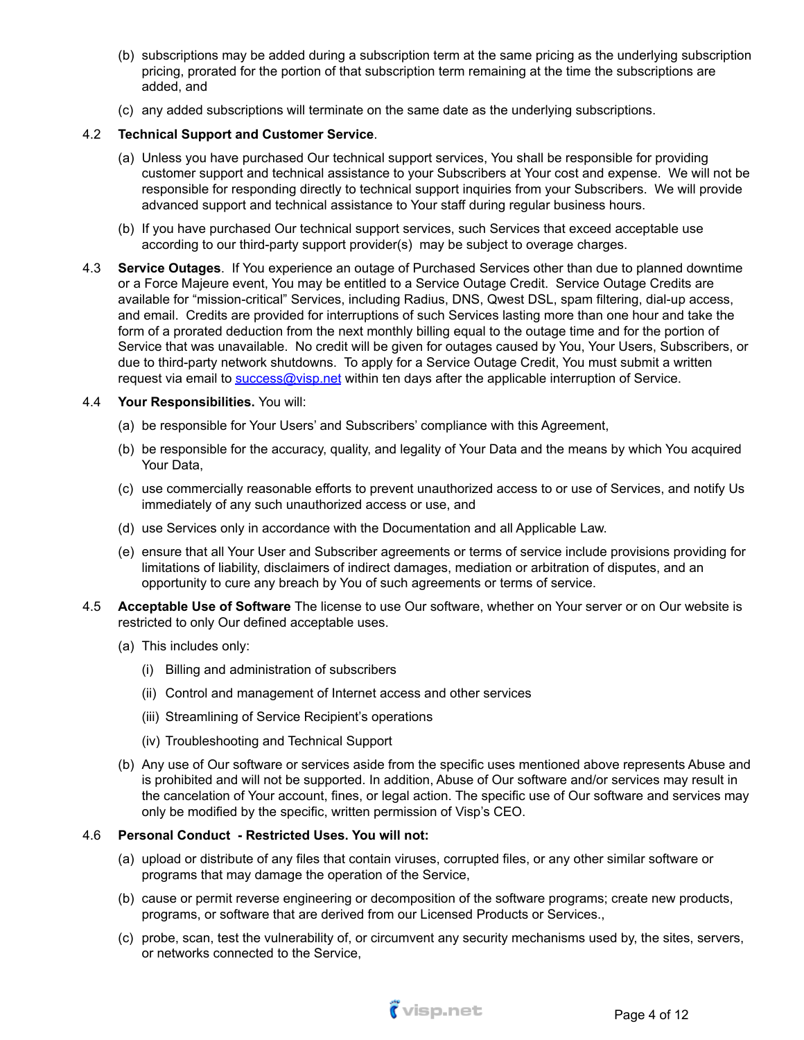- (b) subscriptions may be added during a subscription term at the same pricing as the underlying subscription pricing, prorated for the portion of that subscription term remaining at the time the subscriptions are added, and
- (c) any added subscriptions will terminate on the same date as the underlying subscriptions.

## 4.2 **Technical Support and Customer Service**.

- (a) Unless you have purchased Our technical support services, You shall be responsible for providing customer support and technical assistance to your Subscribers at Your cost and expense. We will not be responsible for responding directly to technical support inquiries from your Subscribers. We will provide advanced support and technical assistance to Your staff during regular business hours.
- (b) If you have purchased Our technical support services, such Services that exceed acceptable use according to our third-party support provider(s) may be subject to overage charges.
- 4.3 **Service Outages**. If You experience an outage of Purchased Services other than due to planned downtime or a Force Majeure event, You may be entitled to a Service Outage Credit. Service Outage Credits are available for "mission-critical" Services, including Radius, DNS, Qwest DSL, spam filtering, dial-up access, and email. Credits are provided for interruptions of such Services lasting more than one hour and take the form of a prorated deduction from the next monthly billing equal to the outage time and for the portion of Service that was unavailable. No credit will be given for outages caused by You, Your Users, Subscribers, or due to third-party network shutdowns. To apply for a Service Outage Credit, You must submit a written request via email to [success@visp.net](mailto:____@visp.net) within ten days after the applicable interruption of Service.

#### 4.4 **Your Responsibilities.** You will:

- (a) be responsible for Your Users' and Subscribers' compliance with this Agreement,
- (b) be responsible for the accuracy, quality, and legality of Your Data and the means by which You acquired Your Data,
- (c) use commercially reasonable efforts to prevent unauthorized access to or use of Services, and notify Us immediately of any such unauthorized access or use, and
- (d) use Services only in accordance with the Documentation and all Applicable Law.
- (e) ensure that all Your User and Subscriber agreements or terms of service include provisions providing for limitations of liability, disclaimers of indirect damages, mediation or arbitration of disputes, and an opportunity to cure any breach by You of such agreements or terms of service.
- 4.5 **Acceptable Use of Software** The license to use Our software, whether on Your server or on Our website is restricted to only Our defined acceptable uses.
	- (a) This includes only:
		- (i) Billing and administration of subscribers
		- (ii) Control and management of Internet access and other services
		- (iii) Streamlining of Service Recipient's operations
		- (iv) Troubleshooting and Technical Support
	- (b) Any use of Our software or services aside from the specific uses mentioned above represents Abuse and is prohibited and will not be supported. In addition, Abuse of Our software and/or services may result in the cancelation of Your account, fines, or legal action. The specific use of Our software and services may only be modified by the specific, written permission of Visp's CEO.

#### 4.6 **Personal Conduct - Restricted Uses. You will not:**

- (a) upload or distribute of any files that contain viruses, corrupted files, or any other similar software or programs that may damage the operation of the Service,
- (b) cause or permit reverse engineering or decomposition of the software programs; create new products, programs, or software that are derived from our Licensed Products or Services.,
- (c) probe, scan, test the vulnerability of, or circumvent any security mechanisms used by, the sites, servers, or networks connected to the Service,

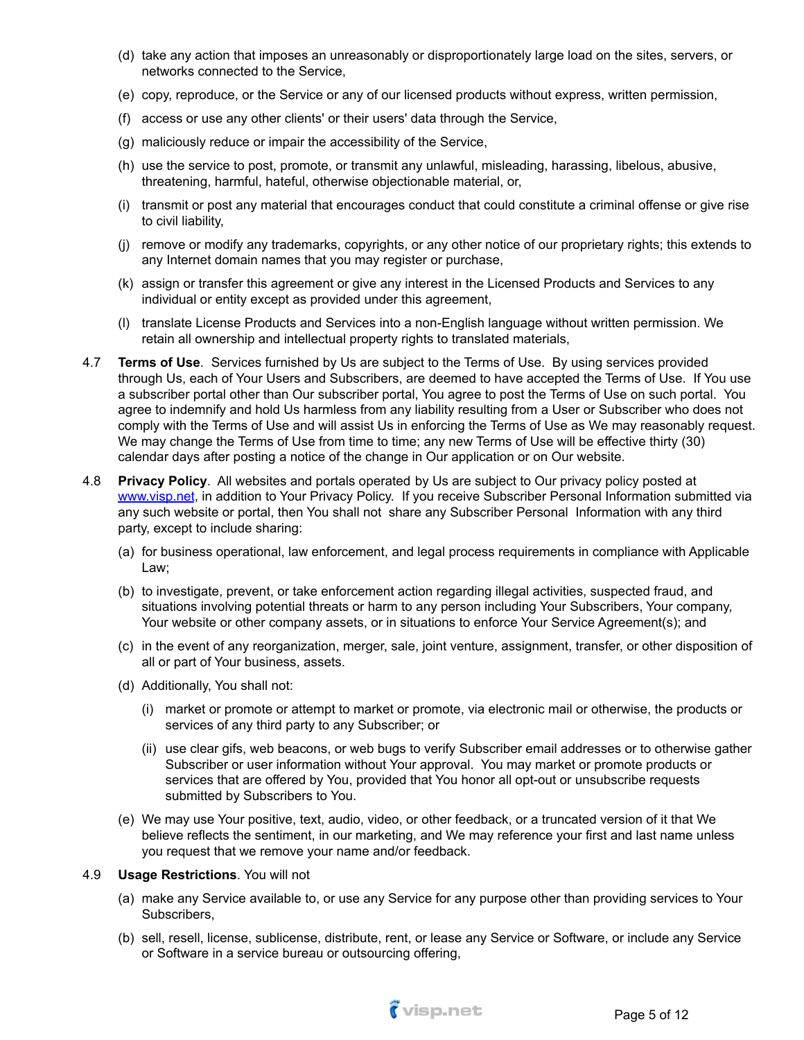- (d) take any action that imposes an unreasonably or disproportionately large load on the sites, servers, or networks connected to the Service,
- (e) copy, reproduce, or the Service or any of our licensed products without express, written permission,
- (f) access or use any other clients' or their users' data through the Service,
- (g) maliciously reduce or impair the accessibility of the Service,
- (h) use the service to post, promote, or transmit any unlawful, misleading, harassing, libelous, abusive, threatening, harmful, hateful, otherwise objectionable material, or,
- (i) transmit or post any material that encourages conduct that could constitute a criminal offense or give rise to civil liability,
- (j) remove or modify any trademarks, copyrights, or any other notice of our proprietary rights; this extends to any Internet domain names that you may register or purchase,
- (k) assign or transfer this agreement or give any interest in the Licensed Products and Services to any individual or entity except as provided under this agreement,
- (l) translate License Products and Services into a non-English language without written permission. We retain all ownership and intellectual property rights to translated materials,
- 4.7 **Terms of Use**. Services furnished by Us are subject to the Terms of Use. By using services provided through Us, each of Your Users and Subscribers, are deemed to have accepted the Terms of Use. If You use a subscriber portal other than Our subscriber portal, You agree to post the Terms of Use on such portal. You agree to indemnify and hold Us harmless from any liability resulting from a User or Subscriber who does not comply with the Terms of Use and will assist Us in enforcing the Terms of Use as We may reasonably request. We may change the Terms of Use from time to time; any new Terms of Use will be effective thirty (30) calendar days after posting a notice of the change in Our application or on Our website.
- 4.8 **Privacy Policy**. All websites and portals operated by Us are subject to Our privacy policy posted at [www.visp.net](http://www.visp.net), in addition to Your Privacy Policy. If you receive Subscriber Personal Information submitted via any such website or portal, then You shall not share any Subscriber Personal Information with any third party, except to include sharing:
	- (a) for business operational, law enforcement, and legal process requirements in compliance with Applicable Law;
	- (b) to investigate, prevent, or take enforcement action regarding illegal activities, suspected fraud, and situations involving potential threats or harm to any person including Your Subscribers, Your company, Your website or other company assets, or in situations to enforce Your Service Agreement(s); and
	- (c) in the event of any reorganization, merger, sale, joint venture, assignment, transfer, or other disposition of all or part of Your business, assets.
	- (d) Additionally, You shall not:
		- (i) market or promote or attempt to market or promote, via electronic mail or otherwise, the products or services of any third party to any Subscriber; or
		- (ii) use clear gifs, web beacons, or web bugs to verify Subscriber email addresses or to otherwise gather Subscriber or user information without Your approval. You may market or promote products or services that are offered by You, provided that You honor all opt-out or unsubscribe requests submitted by Subscribers to You.
	- (e) We may use Your positive, text, audio, video, or other feedback, or a truncated version of it that We believe reflects the sentiment, in our marketing, and We may reference your first and last name unless you request that we remove your name and/or feedback.

#### 4.9 **Usage Restrictions**. You will not

- (a) make any Service available to, or use any Service for any purpose other than providing services to Your Subscribers,
- (b) sell, resell, license, sublicense, distribute, rent, or lease any Service or Software, or include any Service or Software in a service bureau or outsourcing offering,

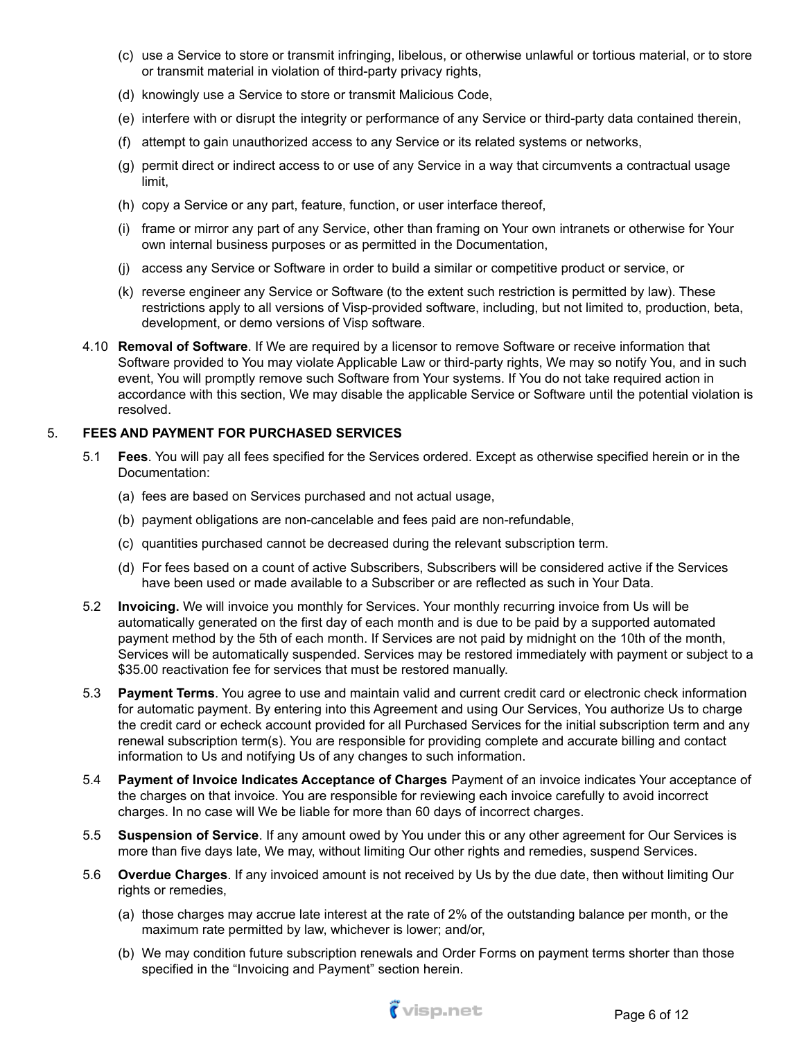- (c) use a Service to store or transmit infringing, libelous, or otherwise unlawful or tortious material, or to store or transmit material in violation of third-party privacy rights,
- (d) knowingly use a Service to store or transmit Malicious Code,
- (e) interfere with or disrupt the integrity or performance of any Service or third-party data contained therein,
- (f) attempt to gain unauthorized access to any Service or its related systems or networks,
- (g) permit direct or indirect access to or use of any Service in a way that circumvents a contractual usage limit,
- (h) copy a Service or any part, feature, function, or user interface thereof,
- (i) frame or mirror any part of any Service, other than framing on Your own intranets or otherwise for Your own internal business purposes or as permitted in the Documentation,
- (j) access any Service or Software in order to build a similar or competitive product or service, or
- (k) reverse engineer any Service or Software (to the extent such restriction is permitted by law). These restrictions apply to all versions of Visp-provided software, including, but not limited to, production, beta, development, or demo versions of Visp software.
- 4.10 **Removal of Software**. If We are required by a licensor to remove Software or receive information that Software provided to You may violate Applicable Law or third-party rights, We may so notify You, and in such event, You will promptly remove such Software from Your systems. If You do not take required action in accordance with this section, We may disable the applicable Service or Software until the potential violation is resolved.

## 5. **FEES AND PAYMENT FOR PURCHASED SERVICES**

- 5.1 **Fees**. You will pay all fees specified for the Services ordered. Except as otherwise specified herein or in the Documentation:
	- (a) fees are based on Services purchased and not actual usage,
	- (b) payment obligations are non-cancelable and fees paid are non-refundable,
	- (c) quantities purchased cannot be decreased during the relevant subscription term.
	- (d) For fees based on a count of active Subscribers, Subscribers will be considered active if the Services have been used or made available to a Subscriber or are reflected as such in Your Data.
- 5.2 **Invoicing.** We will invoice you monthly for Services. Your monthly recurring invoice from Us will be automatically generated on the first day of each month and is due to be paid by a supported automated payment method by the 5th of each month. If Services are not paid by midnight on the 10th of the month, Services will be automatically suspended. Services may be restored immediately with payment or subject to a \$35.00 reactivation fee for services that must be restored manually.
- 5.3 **Payment Terms**. You agree to use and maintain valid and current credit card or electronic check information for automatic payment. By entering into this Agreement and using Our Services, You authorize Us to charge the credit card or echeck account provided for all Purchased Services for the initial subscription term and any renewal subscription term(s). You are responsible for providing complete and accurate billing and contact information to Us and notifying Us of any changes to such information.
- 5.4 **Payment of Invoice Indicates Acceptance of Charges** Payment of an invoice indicates Your acceptance of the charges on that invoice. You are responsible for reviewing each invoice carefully to avoid incorrect charges. In no case will We be liable for more than 60 days of incorrect charges.
- 5.5 **Suspension of Service**. If any amount owed by You under this or any other agreement for Our Services is more than five days late, We may, without limiting Our other rights and remedies, suspend Services.
- 5.6 **Overdue Charges**. If any invoiced amount is not received by Us by the due date, then without limiting Our rights or remedies,
	- (a) those charges may accrue late interest at the rate of 2% of the outstanding balance per month, or the maximum rate permitted by law, whichever is lower; and/or,
	- (b) We may condition future subscription renewals and Order Forms on payment terms shorter than those specified in the "Invoicing and Payment" section herein.

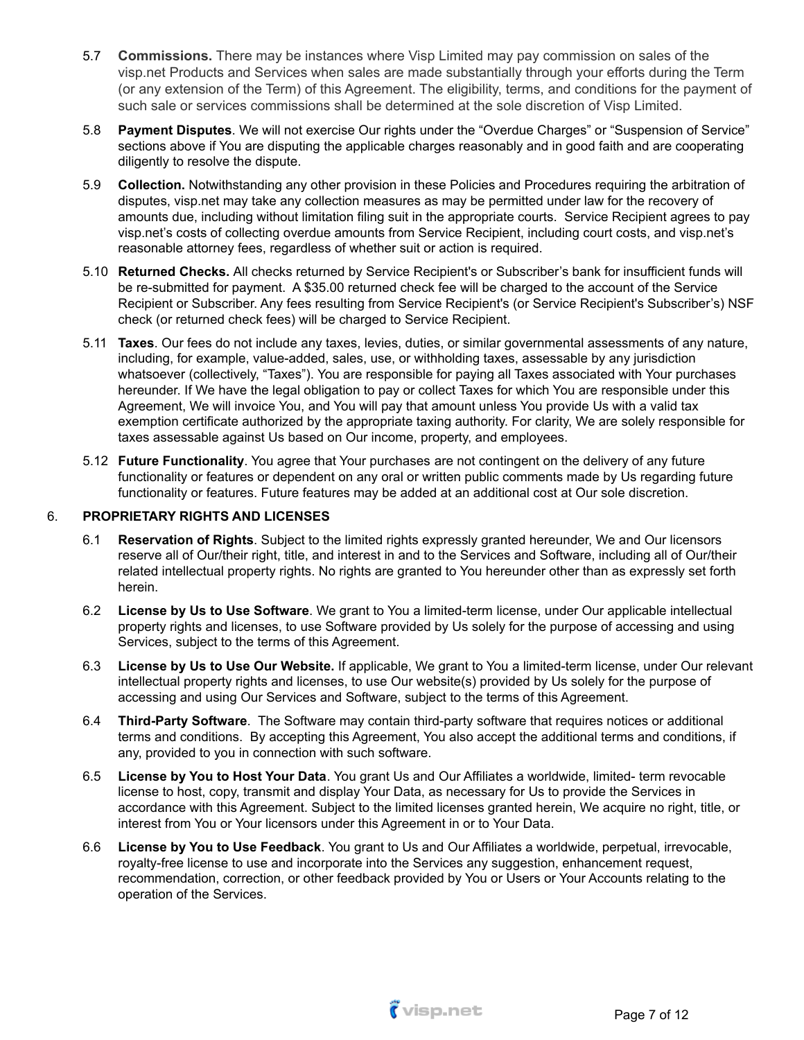- 5.7 **Commissions.** There may be instances where Visp Limited may pay commission on sales of the visp.net Products and Services when sales are made substantially through your efforts during the Term (or any extension of the Term) of this Agreement. The eligibility, terms, and conditions for the payment of such sale or services commissions shall be determined at the sole discretion of Visp Limited.
- 5.8 **Payment Disputes**. We will not exercise Our rights under the "Overdue Charges" or "Suspension of Service" sections above if You are disputing the applicable charges reasonably and in good faith and are cooperating diligently to resolve the dispute.
- 5.9 **Collection.** Notwithstanding any other provision in these Policies and Procedures requiring the arbitration of disputes, visp.net may take any collection measures as may be permitted under law for the recovery of amounts due, including without limitation filing suit in the appropriate courts. Service Recipient agrees to pay visp.net's costs of collecting overdue amounts from Service Recipient, including court costs, and visp.net's reasonable attorney fees, regardless of whether suit or action is required.
- 5.10 **Returned Checks.** All checks returned by Service Recipient's or Subscriber's bank for insufficient funds will be re-submitted for payment. A \$35.00 returned check fee will be charged to the account of the Service Recipient or Subscriber. Any fees resulting from Service Recipient's (or Service Recipient's Subscriber's) NSF check (or returned check fees) will be charged to Service Recipient.
- 5.11 **Taxes**. Our fees do not include any taxes, levies, duties, or similar governmental assessments of any nature, including, for example, value-added, sales, use, or withholding taxes, assessable by any jurisdiction whatsoever (collectively, "Taxes"). You are responsible for paying all Taxes associated with Your purchases hereunder. If We have the legal obligation to pay or collect Taxes for which You are responsible under this Agreement, We will invoice You, and You will pay that amount unless You provide Us with a valid tax exemption certificate authorized by the appropriate taxing authority. For clarity, We are solely responsible for taxes assessable against Us based on Our income, property, and employees.
- 5.12 **Future Functionality**. You agree that Your purchases are not contingent on the delivery of any future functionality or features or dependent on any oral or written public comments made by Us regarding future functionality or features. Future features may be added at an additional cost at Our sole discretion.

## 6. **PROPRIETARY RIGHTS AND LICENSES**

- 6.1 **Reservation of Rights**. Subject to the limited rights expressly granted hereunder, We and Our licensors reserve all of Our/their right, title, and interest in and to the Services and Software, including all of Our/their related intellectual property rights. No rights are granted to You hereunder other than as expressly set forth herein.
- 6.2 **License by Us to Use Software**. We grant to You a limited-term license, under Our applicable intellectual property rights and licenses, to use Software provided by Us solely for the purpose of accessing and using Services, subject to the terms of this Agreement.
- 6.3 **License by Us to Use Our Website.** If applicable, We grant to You a limited-term license, under Our relevant intellectual property rights and licenses, to use Our website(s) provided by Us solely for the purpose of accessing and using Our Services and Software, subject to the terms of this Agreement.
- 6.4 **Third-Party Software**. The Software may contain third-party software that requires notices or additional terms and conditions. By accepting this Agreement, You also accept the additional terms and conditions, if any, provided to you in connection with such software.
- 6.5 **License by You to Host Your Data**. You grant Us and Our Affiliates a worldwide, limited- term revocable license to host, copy, transmit and display Your Data, as necessary for Us to provide the Services in accordance with this Agreement. Subject to the limited licenses granted herein, We acquire no right, title, or interest from You or Your licensors under this Agreement in or to Your Data.
- 6.6 **License by You to Use Feedback**. You grant to Us and Our Affiliates a worldwide, perpetual, irrevocable, royalty-free license to use and incorporate into the Services any suggestion, enhancement request, recommendation, correction, or other feedback provided by You or Users or Your Accounts relating to the operation of the Services.

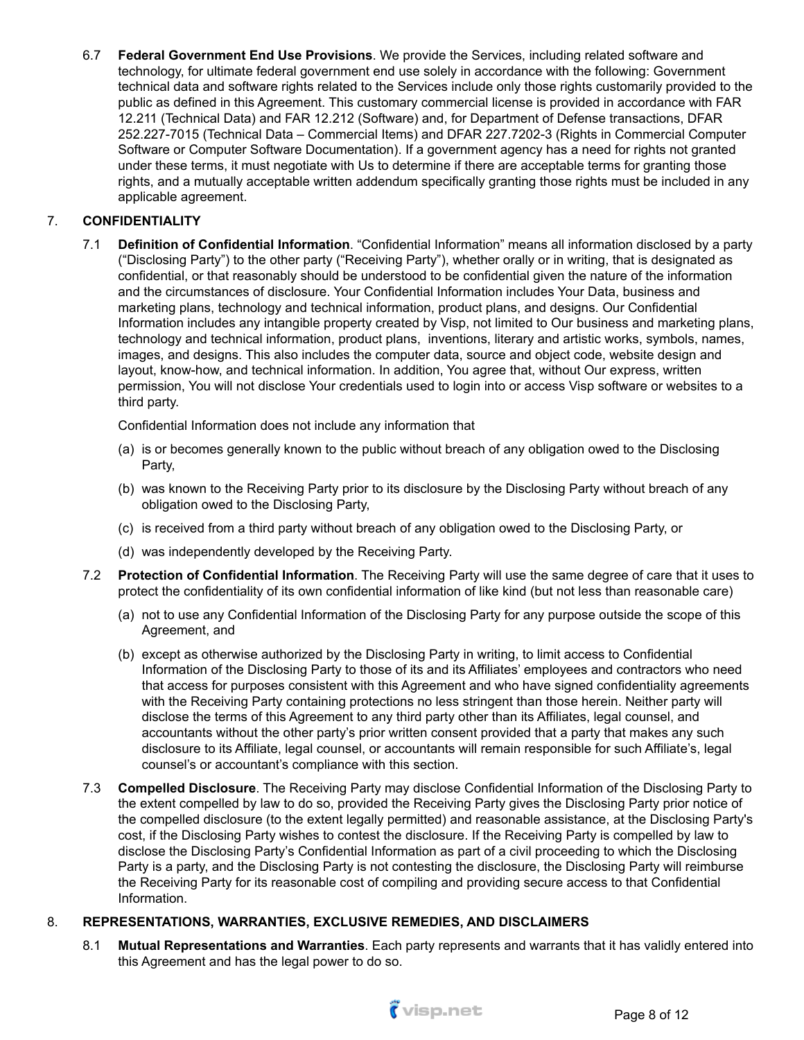6.7 **Federal Government End Use Provisions**. We provide the Services, including related software and technology, for ultimate federal government end use solely in accordance with the following: Government technical data and software rights related to the Services include only those rights customarily provided to the public as defined in this Agreement. This customary commercial license is provided in accordance with FAR 12.211 (Technical Data) and FAR 12.212 (Software) and, for Department of Defense transactions, DFAR 252.227-7015 (Technical Data – Commercial Items) and DFAR 227.7202-3 (Rights in Commercial Computer Software or Computer Software Documentation). If a government agency has a need for rights not granted under these terms, it must negotiate with Us to determine if there are acceptable terms for granting those rights, and a mutually acceptable written addendum specifically granting those rights must be included in any applicable agreement.

# 7. **CONFIDENTIALITY**

7.1 **Definition of Confidential Information**. "Confidential Information" means all information disclosed by a party ("Disclosing Party") to the other party ("Receiving Party"), whether orally or in writing, that is designated as confidential, or that reasonably should be understood to be confidential given the nature of the information and the circumstances of disclosure. Your Confidential Information includes Your Data, business and marketing plans, technology and technical information, product plans, and designs. Our Confidential Information includes any intangible property created by Visp, not limited to Our business and marketing plans, technology and technical information, product plans, inventions, literary and artistic works, symbols, names, images, and designs. This also includes the computer data, source and object code, website design and layout, know-how, and technical information. In addition, You agree that, without Our express, written permission, You will not disclose Your credentials used to login into or access Visp software or websites to a third party.

Confidential Information does not include any information that

- (a) is or becomes generally known to the public without breach of any obligation owed to the Disclosing Party,
- (b) was known to the Receiving Party prior to its disclosure by the Disclosing Party without breach of any obligation owed to the Disclosing Party,
- (c) is received from a third party without breach of any obligation owed to the Disclosing Party, or
- (d) was independently developed by the Receiving Party.
- 7.2 **Protection of Confidential Information**. The Receiving Party will use the same degree of care that it uses to protect the confidentiality of its own confidential information of like kind (but not less than reasonable care)
	- (a) not to use any Confidential Information of the Disclosing Party for any purpose outside the scope of this Agreement, and
	- (b) except as otherwise authorized by the Disclosing Party in writing, to limit access to Confidential Information of the Disclosing Party to those of its and its Affiliates' employees and contractors who need that access for purposes consistent with this Agreement and who have signed confidentiality agreements with the Receiving Party containing protections no less stringent than those herein. Neither party will disclose the terms of this Agreement to any third party other than its Affiliates, legal counsel, and accountants without the other party's prior written consent provided that a party that makes any such disclosure to its Affiliate, legal counsel, or accountants will remain responsible for such Affiliate's, legal counsel's or accountant's compliance with this section.
- 7.3 **Compelled Disclosure**. The Receiving Party may disclose Confidential Information of the Disclosing Party to the extent compelled by law to do so, provided the Receiving Party gives the Disclosing Party prior notice of the compelled disclosure (to the extent legally permitted) and reasonable assistance, at the Disclosing Party's cost, if the Disclosing Party wishes to contest the disclosure. If the Receiving Party is compelled by law to disclose the Disclosing Party's Confidential Information as part of a civil proceeding to which the Disclosing Party is a party, and the Disclosing Party is not contesting the disclosure, the Disclosing Party will reimburse the Receiving Party for its reasonable cost of compiling and providing secure access to that Confidential Information.

## 8. **REPRESENTATIONS, WARRANTIES, EXCLUSIVE REMEDIES, AND DISCLAIMERS**

8.1 **Mutual Representations and Warranties**. Each party represents and warrants that it has validly entered into this Agreement and has the legal power to do so.

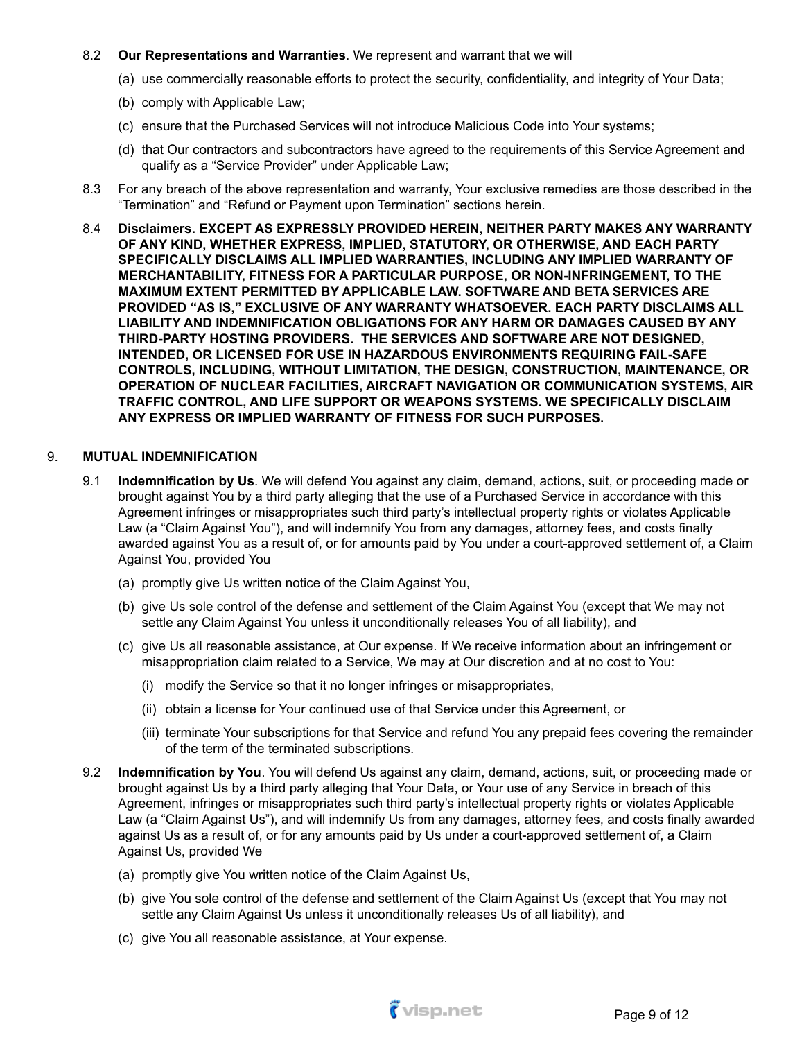### 8.2 **Our Representations and Warranties**. We represent and warrant that we will

- (a) use commercially reasonable efforts to protect the security, confidentiality, and integrity of Your Data;
- (b) comply with Applicable Law;
- (c) ensure that the Purchased Services will not introduce Malicious Code into Your systems;
- (d) that Our contractors and subcontractors have agreed to the requirements of this Service Agreement and qualify as a "Service Provider" under Applicable Law;
- 8.3 For any breach of the above representation and warranty, Your exclusive remedies are those described in the "Termination" and "Refund or Payment upon Termination" sections herein.
- 8.4 **Disclaimers. EXCEPT AS EXPRESSLY PROVIDED HEREIN, NEITHER PARTY MAKES ANY WARRANTY OF ANY KIND, WHETHER EXPRESS, IMPLIED, STATUTORY, OR OTHERWISE, AND EACH PARTY SPECIFICALLY DISCLAIMS ALL IMPLIED WARRANTIES, INCLUDING ANY IMPLIED WARRANTY OF MERCHANTABILITY, FITNESS FOR A PARTICULAR PURPOSE, OR NON-INFRINGEMENT, TO THE MAXIMUM EXTENT PERMITTED BY APPLICABLE LAW. SOFTWARE AND BETA SERVICES ARE PROVIDED "AS IS," EXCLUSIVE OF ANY WARRANTY WHATSOEVER. EACH PARTY DISCLAIMS ALL LIABILITY AND INDEMNIFICATION OBLIGATIONS FOR ANY HARM OR DAMAGES CAUSED BY ANY THIRD-PARTY HOSTING PROVIDERS. THE SERVICES AND SOFTWARE ARE NOT DESIGNED, INTENDED, OR LICENSED FOR USE IN HAZARDOUS ENVIRONMENTS REQUIRING FAIL-SAFE CONTROLS, INCLUDING, WITHOUT LIMITATION, THE DESIGN, CONSTRUCTION, MAINTENANCE, OR OPERATION OF NUCLEAR FACILITIES, AIRCRAFT NAVIGATION OR COMMUNICATION SYSTEMS, AIR TRAFFIC CONTROL, AND LIFE SUPPORT OR WEAPONS SYSTEMS. WE SPECIFICALLY DISCLAIM ANY EXPRESS OR IMPLIED WARRANTY OF FITNESS FOR SUCH PURPOSES.**

#### 9. **MUTUAL INDEMNIFICATION**

- 9.1 **Indemnification by Us**. We will defend You against any claim, demand, actions, suit, or proceeding made or brought against You by a third party alleging that the use of a Purchased Service in accordance with this Agreement infringes or misappropriates such third party's intellectual property rights or violates Applicable Law (a "Claim Against You"), and will indemnify You from any damages, attorney fees, and costs finally awarded against You as a result of, or for amounts paid by You under a court-approved settlement of, a Claim Against You, provided You
	- (a) promptly give Us written notice of the Claim Against You,
	- (b) give Us sole control of the defense and settlement of the Claim Against You (except that We may not settle any Claim Against You unless it unconditionally releases You of all liability), and
	- (c) give Us all reasonable assistance, at Our expense. If We receive information about an infringement or misappropriation claim related to a Service, We may at Our discretion and at no cost to You:
		- (i) modify the Service so that it no longer infringes or misappropriates,
		- (ii) obtain a license for Your continued use of that Service under this Agreement, or
		- (iii) terminate Your subscriptions for that Service and refund You any prepaid fees covering the remainder of the term of the terminated subscriptions.
- 9.2 **Indemnification by You**. You will defend Us against any claim, demand, actions, suit, or proceeding made or brought against Us by a third party alleging that Your Data, or Your use of any Service in breach of this Agreement, infringes or misappropriates such third party's intellectual property rights or violates Applicable Law (a "Claim Against Us"), and will indemnify Us from any damages, attorney fees, and costs finally awarded against Us as a result of, or for any amounts paid by Us under a court-approved settlement of, a Claim Against Us, provided We
	- (a) promptly give You written notice of the Claim Against Us,
	- (b) give You sole control of the defense and settlement of the Claim Against Us (except that You may not settle any Claim Against Us unless it unconditionally releases Us of all liability), and
	- (c) give You all reasonable assistance, at Your expense.

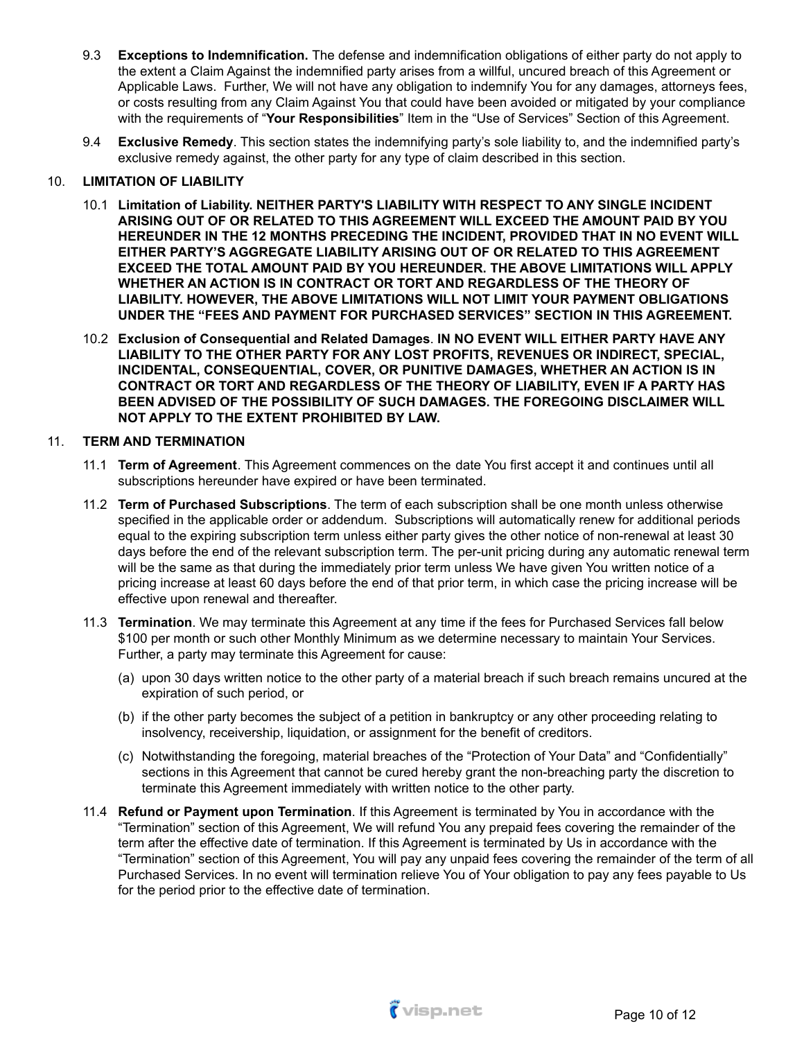- 9.3 **Exceptions to Indemnification.** The defense and indemnification obligations of either party do not apply to the extent a Claim Against the indemnified party arises from a willful, uncured breach of this Agreement or Applicable Laws. Further, We will not have any obligation to indemnify You for any damages, attorneys fees, or costs resulting from any Claim Against You that could have been avoided or mitigated by your compliance with the requirements of "**Your Responsibilities**" Item in the "Use of Services" Section of this Agreement.
- 9.4 **Exclusive Remedy**. This section states the indemnifying party's sole liability to, and the indemnified party's exclusive remedy against, the other party for any type of claim described in this section.

## 10. **LIMITATION OF LIABILITY**

- 10.1 **Limitation of Liability. NEITHER PARTY'S LIABILITY WITH RESPECT TO ANY SINGLE INCIDENT ARISING OUT OF OR RELATED TO THIS AGREEMENT WILL EXCEED THE AMOUNT PAID BY YOU HEREUNDER IN THE 12 MONTHS PRECEDING THE INCIDENT, PROVIDED THAT IN NO EVENT WILL EITHER PARTY'S AGGREGATE LIABILITY ARISING OUT OF OR RELATED TO THIS AGREEMENT EXCEED THE TOTAL AMOUNT PAID BY YOU HEREUNDER. THE ABOVE LIMITATIONS WILL APPLY WHETHER AN ACTION IS IN CONTRACT OR TORT AND REGARDLESS OF THE THEORY OF LIABILITY. HOWEVER, THE ABOVE LIMITATIONS WILL NOT LIMIT YOUR PAYMENT OBLIGATIONS UNDER THE "FEES AND PAYMENT FOR PURCHASED SERVICES" SECTION IN THIS AGREEMENT.**
- 10.2 **Exclusion of Consequential and Related Damages**. **IN NO EVENT WILL EITHER PARTY HAVE ANY LIABILITY TO THE OTHER PARTY FOR ANY LOST PROFITS, REVENUES OR INDIRECT, SPECIAL, INCIDENTAL, CONSEQUENTIAL, COVER, OR PUNITIVE DAMAGES, WHETHER AN ACTION IS IN CONTRACT OR TORT AND REGARDLESS OF THE THEORY OF LIABILITY, EVEN IF A PARTY HAS BEEN ADVISED OF THE POSSIBILITY OF SUCH DAMAGES. THE FOREGOING DISCLAIMER WILL NOT APPLY TO THE EXTENT PROHIBITED BY LAW.**

## 11. **TERM AND TERMINATION**

- 11.1 **Term of Agreement**. This Agreement commences on the date You first accept it and continues until all subscriptions hereunder have expired or have been terminated.
- 11.2 **Term of Purchased Subscriptions**. The term of each subscription shall be one month unless otherwise specified in the applicable order or addendum. Subscriptions will automatically renew for additional periods equal to the expiring subscription term unless either party gives the other notice of non-renewal at least 30 days before the end of the relevant subscription term. The per-unit pricing during any automatic renewal term will be the same as that during the immediately prior term unless We have given You written notice of a pricing increase at least 60 days before the end of that prior term, in which case the pricing increase will be effective upon renewal and thereafter.
- 11.3 **Termination**. We may terminate this Agreement at any time if the fees for Purchased Services fall below \$100 per month or such other Monthly Minimum as we determine necessary to maintain Your Services. Further, a party may terminate this Agreement for cause:
	- (a) upon 30 days written notice to the other party of a material breach if such breach remains uncured at the expiration of such period, or
	- (b) if the other party becomes the subject of a petition in bankruptcy or any other proceeding relating to insolvency, receivership, liquidation, or assignment for the benefit of creditors.
	- (c) Notwithstanding the foregoing, material breaches of the "Protection of Your Data" and "Confidentially" sections in this Agreement that cannot be cured hereby grant the non-breaching party the discretion to terminate this Agreement immediately with written notice to the other party.
- 11.4 **Refund or Payment upon Termination**. If this Agreement is terminated by You in accordance with the "Termination" section of this Agreement, We will refund You any prepaid fees covering the remainder of the term after the effective date of termination. If this Agreement is terminated by Us in accordance with the "Termination" section of this Agreement, You will pay any unpaid fees covering the remainder of the term of all Purchased Services. In no event will termination relieve You of Your obligation to pay any fees payable to Us for the period prior to the effective date of termination.

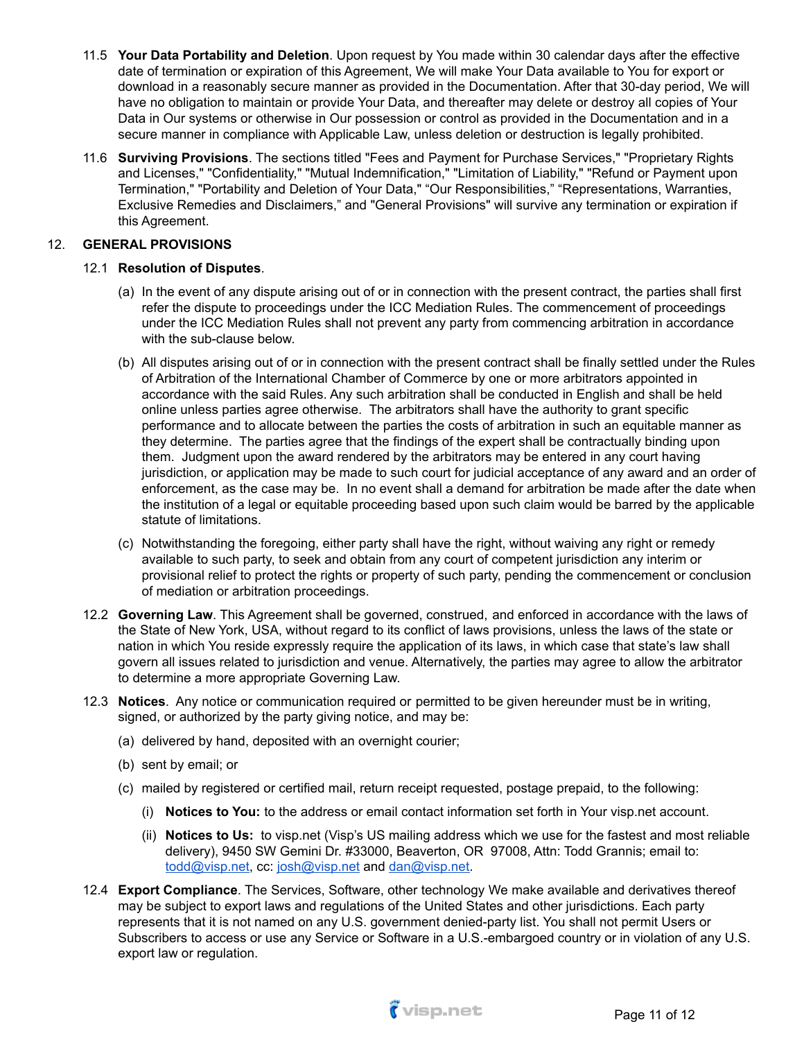- 11.5 **Your Data Portability and Deletion**. Upon request by You made within 30 calendar days after the effective date of termination or expiration of this Agreement, We will make Your Data available to You for export or download in a reasonably secure manner as provided in the Documentation. After that 30-day period, We will have no obligation to maintain or provide Your Data, and thereafter may delete or destroy all copies of Your Data in Our systems or otherwise in Our possession or control as provided in the Documentation and in a secure manner in compliance with Applicable Law, unless deletion or destruction is legally prohibited.
- 11.6 **Surviving Provisions**. The sections titled "Fees and Payment for Purchase Services," "Proprietary Rights and Licenses," "Confidentiality," "Mutual Indemnification," "Limitation of Liability," "Refund or Payment upon Termination," "Portability and Deletion of Your Data," "Our Responsibilities," "Representations, Warranties, Exclusive Remedies and Disclaimers," and "General Provisions" will survive any termination or expiration if this Agreement.

## 12. **GENERAL PROVISIONS**

## 12.1 **Resolution of Disputes**.

- (a) In the event of any dispute arising out of or in connection with the present contract, the parties shall first refer the dispute to proceedings under the ICC Mediation Rules. The commencement of proceedings under the ICC Mediation Rules shall not prevent any party from commencing arbitration in accordance with the sub-clause below.
- (b) All disputes arising out of or in connection with the present contract shall be finally settled under the Rules of Arbitration of the International Chamber of Commerce by one or more arbitrators appointed in accordance with the said Rules. Any such arbitration shall be conducted in English and shall be held online unless parties agree otherwise. The arbitrators shall have the authority to grant specific performance and to allocate between the parties the costs of arbitration in such an equitable manner as they determine. The parties agree that the findings of the expert shall be contractually binding upon them. Judgment upon the award rendered by the arbitrators may be entered in any court having jurisdiction, or application may be made to such court for judicial acceptance of any award and an order of enforcement, as the case may be. In no event shall a demand for arbitration be made after the date when the institution of a legal or equitable proceeding based upon such claim would be barred by the applicable statute of limitations.
- (c) Notwithstanding the foregoing, either party shall have the right, without waiving any right or remedy available to such party, to seek and obtain from any court of competent jurisdiction any interim or provisional relief to protect the rights or property of such party, pending the commencement or conclusion of mediation or arbitration proceedings.
- 12.2 **Governing Law**. This Agreement shall be governed, construed, and enforced in accordance with the laws of the State of New York, USA, without regard to its conflict of laws provisions, unless the laws of the state or nation in which You reside expressly require the application of its laws, in which case that state's law shall govern all issues related to jurisdiction and venue. Alternatively, the parties may agree to allow the arbitrator to determine a more appropriate Governing Law.
- 12.3 **Notices**. Any notice or communication required or permitted to be given hereunder must be in writing, signed, or authorized by the party giving notice, and may be:
	- (a) delivered by hand, deposited with an overnight courier;
	- (b) sent by email; or
	- (c) mailed by registered or certified mail, return receipt requested, postage prepaid, to the following:
		- (i) **Notices to You:** to the address or email contact information set forth in Your visp.net account.
		- (ii) **Notices to Us:** to visp.net (Visp's US mailing address which we use for the fastest and most reliable delivery), 9450 SW Gemini Dr. #33000, Beaverton, OR 97008, Attn: Todd Grannis; email to: [todd@visp.net](mailto:tgrannis@visp.net), cc: [josh@visp.net](mailto:josh@visp.net) and [dan@visp.net.](mailto:dan@visp.net)
- 12.4 **Export Compliance**. The Services, Software, other technology We make available and derivatives thereof may be subject to export laws and regulations of the United States and other jurisdictions. Each party represents that it is not named on any U.S. government denied-party list. You shall not permit Users or Subscribers to access or use any Service or Software in a U.S.-embargoed country or in violation of any U.S. export law or regulation.